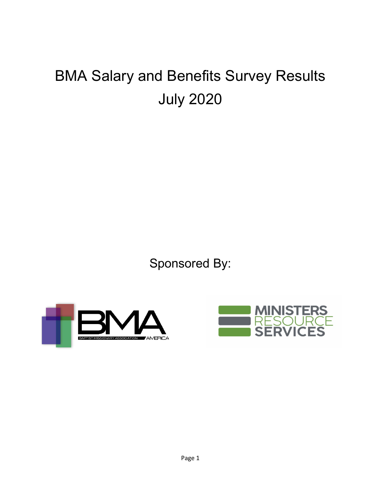# BMA Salary and Benefits Survey Results July 2020

Sponsored By:



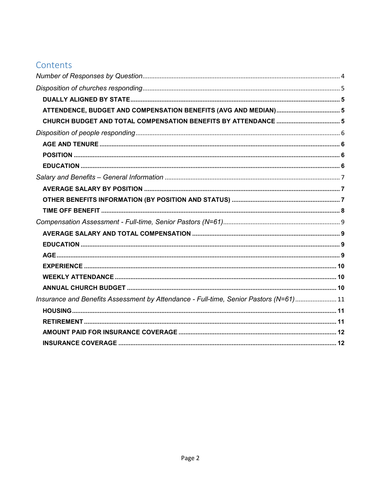# Contents

| Insurance and Benefits Assessment by Attendance - Full-time, Senior Pastors (N=61) 11 |  |
|---------------------------------------------------------------------------------------|--|
|                                                                                       |  |
|                                                                                       |  |
|                                                                                       |  |
|                                                                                       |  |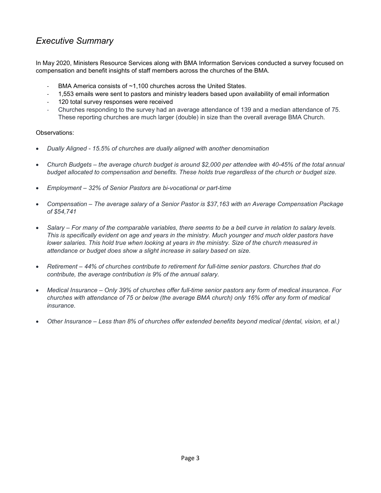# *Executive Summary*

In May 2020, Ministers Resource Services along with BMA Information Services conducted a survey focused on compensation and benefit insights of staff members across the churches of the BMA.

- BMA America consists of ~1,100 churches across the United States.
- 1,553 emails were sent to pastors and ministry leaders based upon availability of email information
- 120 total survey responses were received
- Churches responding to the survey had an average attendance of 139 and a median attendance of 75. These reporting churches are much larger (double) in size than the overall average BMA Church.

#### Observations:

- *Dually Aligned - 15.5% of churches are dually aligned with another denomination*
- Church Budgets the average church budget is around \$2,000 per attendee with 40-45% of the total annual *budget allocated to compensation and benefits. These holds true regardless of the church or budget size.*
- *Employment – 32% of Senior Pastors are bi-vocational or part-time*
- *Compensation – The average salary of a Senior Pastor is \$37,163 with an Average Compensation Package of \$54,741*
- *Salary – For many of the comparable variables, there seems to be a bell curve in relation to salary levels. This is specifically evident on age and years in the ministry. Much younger and much older pastors have lower salaries. This hold true when looking at years in the ministry. Size of the church measured in attendance or budget does show a slight increase in salary based on size.*
- *Retirement – 44% of churches contribute to retirement for full-time senior pastors. Churches that do contribute, the average contribution is 9% of the annual salary.*
- *Medical Insurance – Only 39% of churches offer full-time senior pastors any form of medical insurance. For churches with attendance of 75 or below (the average BMA church) only 16% offer any form of medical insurance.*
- *Other Insurance – Less than 8% of churches offer extended benefits beyond medical (dental, vision, et al.)*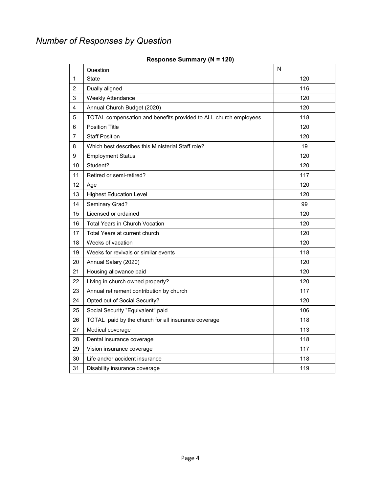# <span id="page-3-0"></span>*Number of Responses by Question*

|                | Question                                                         | N   |
|----------------|------------------------------------------------------------------|-----|
| $\mathbf{1}$   | <b>State</b>                                                     | 120 |
| $\overline{c}$ | Dually aligned                                                   | 116 |
| 3              | <b>Weekly Attendance</b>                                         | 120 |
| 4              | Annual Church Budget (2020)                                      | 120 |
| 5              | TOTAL compensation and benefits provided to ALL church employees | 118 |
| 6              | <b>Position Title</b>                                            | 120 |
| $\overline{7}$ | <b>Staff Position</b>                                            | 120 |
| 8              | Which best describes this Ministerial Staff role?                | 19  |
| 9              | <b>Employment Status</b>                                         | 120 |
| 10             | Student?                                                         | 120 |
| 11             | Retired or semi-retired?                                         | 117 |
| 12             | Age                                                              | 120 |
| 13             | <b>Highest Education Level</b>                                   | 120 |
| 14             | Seminary Grad?                                                   | 99  |
| 15             | Licensed or ordained                                             | 120 |
| 16             | <b>Total Years in Church Vocation</b>                            | 120 |
| 17             | Total Years at current church                                    | 120 |
| 18             | Weeks of vacation                                                | 120 |
| 19             | Weeks for revivals or similar events                             | 118 |
| 20             | Annual Salary (2020)                                             | 120 |
| 21             | Housing allowance paid                                           | 120 |
| 22             | Living in church owned property?                                 | 120 |
| 23             | Annual retirement contribution by church                         | 117 |
| 24             | Opted out of Social Security?                                    | 120 |
| 25             | Social Security "Equivalent" paid                                | 106 |
| 26             | TOTAL paid by the church for all insurance coverage              | 118 |
| 27             | Medical coverage                                                 | 113 |
| 28             | Dental insurance coverage                                        | 118 |
| 29             | Vision insurance coverage                                        | 117 |
| 30             | Life and/or accident insurance                                   | 118 |
| 31             | Disability insurance coverage                                    | 119 |

#### **Response Summary (N = 120)**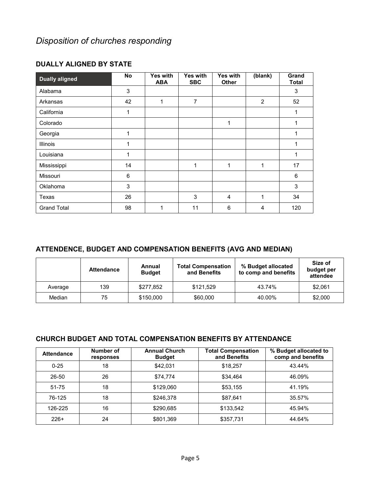# <span id="page-4-0"></span>*Disposition of churches responding*

| <b>Dually aligned</b> | <b>No</b> | Yes with<br><b>ABA</b> | Yes with<br><b>SBC</b> | Yes with<br><b>Other</b> | (blank) | Grand<br><b>Total</b> |
|-----------------------|-----------|------------------------|------------------------|--------------------------|---------|-----------------------|
| Alabama               | 3         |                        |                        |                          |         | $\sqrt{3}$            |
| Arkansas              | 42        | 1                      | $\overline{7}$         |                          | 2       | 52                    |
| California            | 1         |                        |                        |                          |         |                       |
| Colorado              |           |                        |                        | 1                        |         |                       |
| Georgia               | 1         |                        |                        |                          |         |                       |
| <b>Illinois</b>       | 1         |                        |                        |                          |         | 1                     |
| Louisiana             | 1         |                        |                        |                          |         | 1                     |
| Mississippi           | 14        |                        | 1                      | 1                        | 1       | 17                    |
| Missouri              | 6         |                        |                        |                          |         | 6                     |
| <b>Oklahoma</b>       | 3         |                        |                        |                          |         | 3                     |
| Texas                 | 26        |                        | 3                      | $\overline{4}$           | 1       | 34                    |
| <b>Grand Total</b>    | 98        | 1                      | 11                     | 6                        | 4       | 120                   |

### <span id="page-4-1"></span>**DUALLY ALIGNED BY STATE**

## <span id="page-4-2"></span>**ATTENDENCE, BUDGET AND COMPENSATION BENEFITS (AVG AND MEDIAN)**

|         | <b>Attendance</b> | Annual<br><b>Budget</b> | <b>Total Compensation</b><br>and Benefits | % Budget allocated<br>to comp and benefits | Size of<br>budget per<br>attendee |
|---------|-------------------|-------------------------|-------------------------------------------|--------------------------------------------|-----------------------------------|
| Average | 139               | \$277,852               | \$121.529                                 | 43.74%                                     | \$2,061                           |
| Median  | 75                | \$150,000               | \$60,000                                  | 40.00%                                     | \$2,000                           |

### <span id="page-4-3"></span>**CHURCH BUDGET AND TOTAL COMPENSATION BENEFITS BY ATTENDANCE**

| <b>Attendance</b> | Number of<br>responses | <b>Annual Church</b><br><b>Budget</b> | <b>Total Compensation</b><br>and Benefits | % Budget allocated to<br>comp and benefits |
|-------------------|------------------------|---------------------------------------|-------------------------------------------|--------------------------------------------|
| $0 - 25$          | 18                     | \$42.031                              | \$18,257                                  | 43.44%                                     |
| 26-50             | 26                     | \$74.774                              | \$34.464                                  | 46.09%                                     |
| $51 - 75$         | 18                     | \$129,060                             | \$53.155                                  | 41.19%                                     |
| 76-125            | 18                     | \$246.378                             | \$87.641                                  | 35.57%                                     |
| 126-225           | 16                     | \$290,685                             | \$133,542                                 | 45.94%                                     |
| $226+$            | 24                     | \$801.369                             | \$357,731                                 | 44.64%                                     |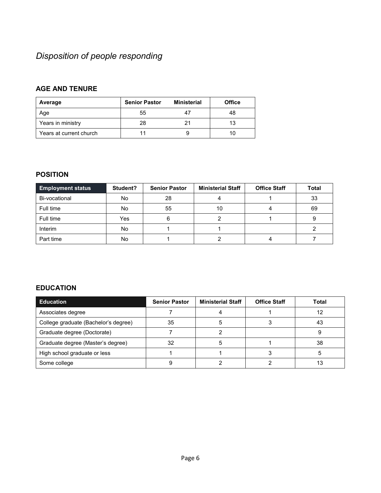# <span id="page-5-0"></span>*Disposition of people responding*

# <span id="page-5-1"></span>**AGE AND TENURE**

| Average                 | <b>Senior Pastor</b> | <b>Ministerial</b> | <b>Office</b> |
|-------------------------|----------------------|--------------------|---------------|
| Age                     | 55                   |                    | 48            |
| Years in ministry       | 28                   |                    | 13            |
| Years at current church |                      |                    |               |

# <span id="page-5-2"></span>**POSITION**

| <b>Employment status</b> | Student? | <b>Senior Pastor</b> | <b>Ministerial Staff</b> | <b>Office Staff</b> | <b>Total</b> |
|--------------------------|----------|----------------------|--------------------------|---------------------|--------------|
| Bi-vocational            | No       | 28                   |                          |                     | 33           |
| Full time                | No       | 55                   | 10                       |                     | 69           |
| Full time                | Yes      |                      |                          |                     |              |
| Interim                  | No       |                      |                          |                     |              |
| Part time                | No       |                      |                          |                     |              |

### <span id="page-5-3"></span>**EDUCATION**

| <b>Education</b>                     | <b>Senior Pastor</b> | <b>Ministerial Staff</b> | <b>Office Staff</b> | Total |
|--------------------------------------|----------------------|--------------------------|---------------------|-------|
| Associates degree                    |                      |                          |                     | 12    |
| College graduate (Bachelor's degree) | 35                   |                          |                     | 43    |
| Graduate degree (Doctorate)          |                      |                          |                     |       |
| Graduate degree (Master's degree)    | 32                   |                          |                     | 38    |
| High school graduate or less         |                      |                          |                     |       |
| Some college                         |                      |                          |                     |       |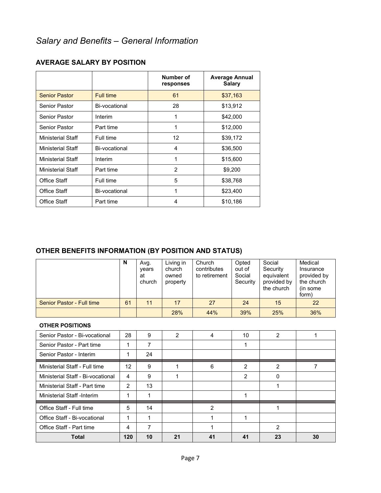|                      |               | Number of<br>responses | <b>Average Annual</b><br><b>Salary</b> |
|----------------------|---------------|------------------------|----------------------------------------|
| <b>Senior Pastor</b> | Full time     | 61                     | \$37,163                               |
| Senior Pastor        | Bi-vocational | 28                     | \$13,912                               |
| Senior Pastor        | Interim       | 1                      | \$42,000                               |
| Senior Pastor        | Part time     | 1                      | \$12,000                               |
| Ministerial Staff    | Full time     | 12                     | \$39,172                               |
| Ministerial Staff    | Bi-vocational | 4                      | \$36,500                               |
| Ministerial Staff    | Interim       | 1                      | \$15,600                               |
| Ministerial Staff    | Part time     | $\mathfrak{p}$         | \$9,200                                |
| Office Staff         | Full time     | 5                      | \$38,768                               |
| Office Staff         | Bi-vocational | 1                      | \$23,400                               |
| Office Staff         | Part time     | 4                      | \$10,186                               |

## <span id="page-6-1"></span><span id="page-6-0"></span>**AVERAGE SALARY BY POSITION**

# <span id="page-6-2"></span>**OTHER BENEFITS INFORMATION (BY POSITION AND STATUS)**

|                           | N  | Avg.<br>vears<br>at<br>church | Living in<br>church<br>owned<br>property | Church<br>contributes<br>to retirement | Opted<br>out of<br>Social<br>Security | Social<br>Security<br>equivalent<br>provided by<br>the church | Medical<br>Insurance<br>provided by<br>the church<br>(in some)<br>form) |
|---------------------------|----|-------------------------------|------------------------------------------|----------------------------------------|---------------------------------------|---------------------------------------------------------------|-------------------------------------------------------------------------|
| Senior Pastor - Full time | 61 | 11                            | 17                                       | 27                                     | 24                                    | 15                                                            | 22                                                                      |
|                           |    |                               | 28%                                      | 44%                                    | 39%                                   | 25%                                                           | 36%                                                                     |

#### **OTHER POSITIONS**

| Senior Pastor - Bi-vocational     | 28  | 9  | 2  |                | 10             | 2            |    |
|-----------------------------------|-----|----|----|----------------|----------------|--------------|----|
| Senior Pastor - Part time         | ◢   | 7  |    |                |                |              |    |
| Senior Pastor - Interim           |     | 24 |    |                |                |              |    |
| Ministerial Staff - Full time     | 12  | 9  |    | 6              | $\mathcal{P}$  | 2            |    |
| Ministerial Staff - Bi-vocational | 4   | 9  |    |                | $\overline{2}$ | <sup>0</sup> |    |
| Ministerial Staff - Part time     | 2   | 13 |    |                |                |              |    |
| Ministerial Staff -Interim        |     |    |    |                |                |              |    |
| Office Staff - Full time          | 5   | 14 |    | $\overline{2}$ |                |              |    |
| Office Staff - Bi-vocational      | 1   |    |    |                |                |              |    |
| Office Staff - Part time          | 4   | 7  |    |                |                | 2            |    |
| <b>Total</b>                      | 120 | 10 | 21 | 41             | 41             | 23           | 30 |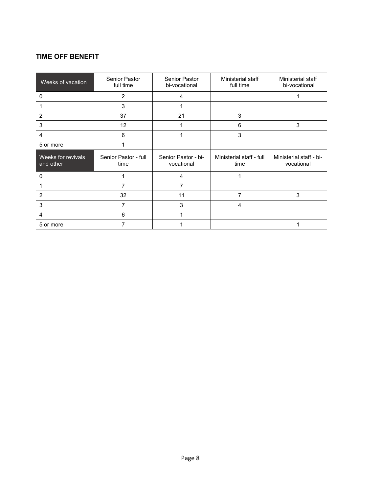# <span id="page-7-0"></span>**TIME OFF BENEFIT**

| Weeks of vacation               | <b>Senior Pastor</b><br>full time | <b>Senior Pastor</b><br>bi-vocational | Ministerial staff<br>full time   | Ministerial staff<br>bi-vocational    |
|---------------------------------|-----------------------------------|---------------------------------------|----------------------------------|---------------------------------------|
| 0                               | 2                                 | 4                                     |                                  |                                       |
|                                 | 3                                 |                                       |                                  |                                       |
| 2                               | 37                                | 21                                    | 3                                |                                       |
| 3                               | 12                                |                                       | 6                                | 3                                     |
| 4                               | 6                                 |                                       | 3                                |                                       |
| 5 or more                       |                                   |                                       |                                  |                                       |
| Weeks for revivals<br>and other | Senior Pastor - full<br>time      | Senior Pastor - bi-<br>vocational     | Ministerial staff - full<br>time | Ministerial staff - bi-<br>vocational |
| 0                               |                                   | 4                                     |                                  |                                       |
|                                 | 7                                 | 7                                     |                                  |                                       |
| $\overline{2}$                  | 32                                | 11                                    | $\overline{7}$                   | 3                                     |
| 3                               | 7                                 | 3                                     | 4                                |                                       |
| 4                               | 6                                 |                                       |                                  |                                       |
| 5 or more                       | 7                                 |                                       |                                  |                                       |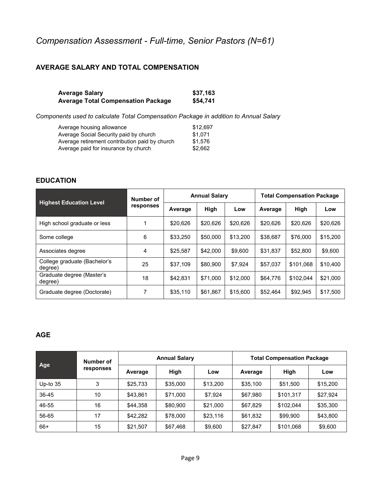# <span id="page-8-0"></span>*Compensation Assessment - Full-time, Senior Pastors (N=61)*

# <span id="page-8-1"></span>**AVERAGE SALARY AND TOTAL COMPENSATION**

| Average Salary                     | \$37,163 |
|------------------------------------|----------|
| Average Total Compensation Package | \$54,741 |

*Components used to calculate Total Compensation Package in addition to Annual Salary*

| Average housing allowance                      | \$12.697 |
|------------------------------------------------|----------|
| Average Social Security paid by church         | \$1.071  |
| Average retirement contribution paid by church | \$1.576  |
| Average paid for insurance by church           | \$2.662  |

#### <span id="page-8-2"></span>**EDUCATION**

| <b>Highest Education Level</b>          | Number of |          | <b>Annual Salary</b> |          | <b>Total Compensation Package</b> |           |          |  |
|-----------------------------------------|-----------|----------|----------------------|----------|-----------------------------------|-----------|----------|--|
|                                         | responses | Average  | High                 | Low      | Average                           | High      | Low      |  |
| High school graduate or less            |           | \$20,626 | \$20,626             | \$20,626 | \$20,626                          | \$20,626  | \$20,626 |  |
| Some college                            | 6         | \$33,250 | \$50,000             | \$13,200 | \$38,687                          | \$76,000  | \$15,200 |  |
| Associates degree                       | 4         | \$25.587 | \$42,000             | \$9.600  | \$31,837                          | \$52,800  | \$9,600  |  |
| College graduate (Bachelor's<br>dearee) | 25        | \$37,109 | \$80,900             | \$7,924  | \$57,037                          | \$101,068 | \$10,400 |  |
| Graduate degree (Master's<br>degree)    | 18        | \$42.831 | \$71.000             | \$12,000 | \$64,776                          | \$102.044 | \$21,000 |  |
| Graduate degree (Doctorate)             | 7         | \$35.110 | \$61.867             | \$15,600 | \$52,464                          | \$92,945  | \$17,500 |  |

#### <span id="page-8-3"></span>**AGE**

| Age        | Number of |          | <b>Annual Salary</b> |          | <b>Total Compensation Package</b> |           |          |  |
|------------|-----------|----------|----------------------|----------|-----------------------------------|-----------|----------|--|
|            | responses | Average  | High                 | Low      | Average                           | High      | Low      |  |
| Up-to $35$ | 3         | \$25,733 | \$35,000             | \$13,200 | \$35,100                          | \$51,500  | \$15,200 |  |
| 36-45      | 10        | \$43.861 | \$71,000             | \$7.924  | \$67,980                          | \$101.317 | \$27,924 |  |
| 46-55      | 16        | \$44,358 | \$80,900             | \$21,000 | \$67,829                          | \$102.044 | \$35,300 |  |
| 56-65      | 17        | \$42,282 | \$78,000             | \$23,116 | \$61,832                          | \$99,900  | \$43,800 |  |
| 66+        | 15        | \$21,507 | \$67,468             | \$9,600  | \$27,847                          | \$101,068 | \$9,600  |  |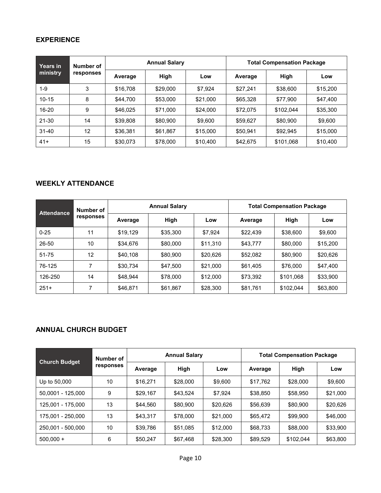# <span id="page-9-0"></span>**EXPERIENCE**

| <b>Years</b> in<br>ministry | Number of |          | <b>Annual Salary</b> |          | <b>Total Compensation Package</b> |           |          |  |  |
|-----------------------------|-----------|----------|----------------------|----------|-----------------------------------|-----------|----------|--|--|
|                             | responses | Average  | High                 | Low      | Average                           | High      | Low      |  |  |
| $1-9$                       | 3         | \$16,708 | \$29,000             | \$7,924  | \$27,241                          | \$38,600  | \$15,200 |  |  |
| $10 - 15$                   | 8         | \$44,700 | \$53,000             | \$21,000 | \$65,328                          | \$77,900  | \$47,400 |  |  |
| 16-20                       | 9         | \$46,025 | \$71,000             | \$24,000 | \$72,075                          | \$102.044 | \$35,300 |  |  |
| 21-30                       | 14        | \$39,808 | \$80,900             | \$9,600  | \$59,627                          | \$80,900  | \$9,600  |  |  |
| $31 - 40$                   | 12        | \$36,381 | \$61,867             | \$15,000 | \$50,941                          | \$92,945  | \$15,000 |  |  |
| $41+$                       | 15        | \$30,073 | \$78,000             | \$10,400 | \$42,675                          | \$101,068 | \$10,400 |  |  |

#### <span id="page-9-1"></span>**WEEKLY ATTENDANCE**

| <b>Attendance</b> | Number of |          | <b>Annual Salary</b> |          | <b>Total Compensation Package</b> |           |          |  |
|-------------------|-----------|----------|----------------------|----------|-----------------------------------|-----------|----------|--|
|                   | responses | Average  | High                 | Low      | Average                           | High      | Low      |  |
| $0 - 25$          | 11        | \$19.129 | \$35,300             | \$7.924  | \$22,439                          | \$38,600  | \$9,600  |  |
| 26-50             | 10        | \$34,676 | \$80,000             | \$11,310 | \$43.777                          | \$80,000  | \$15,200 |  |
| 51-75             | 12        | \$40,108 | \$80,900             | \$20,626 | \$52,082                          | \$80,900  | \$20,626 |  |
| 76-125            | ⇁         | \$30.734 | \$47.500             | \$21,000 | \$61.405                          | \$76,000  | \$47,400 |  |
| 126-250           | 14        | \$48,944 | \$78,000             | \$12,000 | \$73.392                          | \$101,068 | \$33,900 |  |
| $251+$            |           | \$46,871 | \$61,867             | \$28,300 | \$81,761                          | \$102,044 | \$63,800 |  |

# <span id="page-9-2"></span>**ANNUAL CHURCH BUDGET**

| <b>Church Budget</b> | Number of |          | <b>Annual Salary</b> |          | <b>Total Compensation Package</b> |           |          |  |
|----------------------|-----------|----------|----------------------|----------|-----------------------------------|-----------|----------|--|
|                      | responses | Average  | High                 | Low      | Average                           | High      | Low      |  |
| Up to 50,000         | 10        | \$16.271 | \$28,000             | \$9,600  | \$17.762                          | \$28,000  | \$9,600  |  |
| 50,0001 - 125,000    | 9         | \$29.167 | \$43.524             | \$7.924  | \$38,850                          | \$58,950  | \$21,000 |  |
| 125.001 - 175.000    | 13        | \$44,560 | \$80,900             | \$20.626 | \$56,639                          | \$80,900  | \$20,626 |  |
| 175,001 - 250.000    | 13        | \$43.317 | \$78,000             | \$21.000 | \$65,472                          | \$99,900  | \$46,000 |  |
| 250.001 - 500.000    | 10        | \$39,786 | \$51.085             | \$12,000 | \$68,733                          | \$88,000  | \$33,900 |  |
| $500,000 +$          | 6         | \$50,247 | \$67,468             | \$28,300 | \$89,529                          | \$102,044 | \$63,800 |  |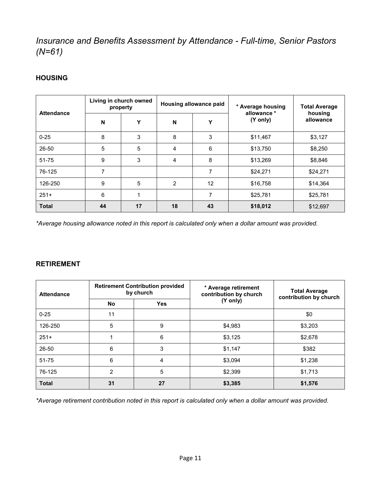# <span id="page-10-0"></span>*Insurance and Benefits Assessment by Attendance - Full-time, Senior Pastors (N=61)*

## <span id="page-10-1"></span>**HOUSING**

| <b>Attendance</b> | Living in church owned<br>property |    |    | Housing allowance paid | * Average housing<br>allowance * | <b>Total Average</b><br>housing |
|-------------------|------------------------------------|----|----|------------------------|----------------------------------|---------------------------------|
|                   | N                                  | Y  | N  | Y                      | (Y only)                         | allowance                       |
| $0 - 25$          | 8                                  | 3  | 8  | 3                      | \$11,467                         | \$3,127                         |
| 26-50             | 5                                  | 5  | 4  | 6                      | \$13,750                         | \$8,250                         |
| $51 - 75$         | 9                                  | 3  | 4  | 8                      | \$13,269                         | \$8,846                         |
| 76-125            | 7                                  |    |    | 7                      | \$24,271                         | \$24,271                        |
| 126-250           | 9                                  | 5  | 2  | 12                     | \$16,758                         | \$14,364                        |
| $251+$            | 6                                  |    |    | 7                      | \$25,781                         | \$25,781                        |
| <b>Total</b>      | 44                                 | 17 | 18 | 43                     | \$18,012                         | \$12,697                        |

*\*Average housing allowance noted in this report is calculated only when a dollar amount was provided.* 

### <span id="page-10-2"></span>**RETIREMENT**

| <b>Attendance</b> |    | <b>Retirement Contribution provided</b><br>by church | * Average retirement<br>contribution by church | <b>Total Average</b><br>contribution by church |  |
|-------------------|----|------------------------------------------------------|------------------------------------------------|------------------------------------------------|--|
|                   | No | <b>Yes</b>                                           | (Y only)                                       |                                                |  |
| $0 - 25$          | 11 |                                                      |                                                | \$0                                            |  |
| 126-250           | 5  | 9                                                    | \$4,983                                        | \$3,203                                        |  |
| $251+$            |    | 6                                                    | \$3,125                                        | \$2,678                                        |  |
| 26-50             | 6  | 3                                                    | \$1,147                                        | \$382                                          |  |
| $51 - 75$         | 6  | 4                                                    | \$3,094                                        | \$1,238                                        |  |
| 76-125            | 2  | 5                                                    | \$2,399                                        | \$1,713                                        |  |
| <b>Total</b>      | 31 | 27                                                   | \$3,385                                        | \$1,576                                        |  |

*\*Average retirement contribution noted in this report is calculated only when a dollar amount was provided.*